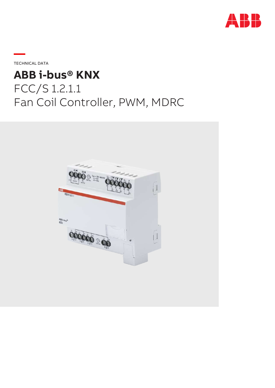

**—**TECHNICAL DATA

# **ABB i-bus® KNX** FCC/S 1.2.1.1 Fan Coil Controller, PWM, MDRC

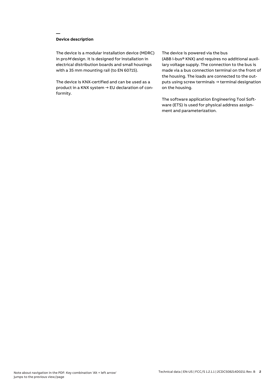## **Device description**

**—**

The device is a modular installation device (MDRC) in proM design. It is designed for installation in electrical distribution boards and small housings with a 35 mm mounting rail (to EN 60715).

The device is KNX-certified and can be used as a product in a KNX system → EU declaration of conformity.

#### The device is powered via the bus

(ABB i-bus® KNX) and requires no additional auxiliary voltage supply. The connection to the bus is made via a bus connection terminal on the front of the housing. The loads are connected to the outputs using screw terminals → terminal designation on the housing.

The software application Engineering Tool Software (ETS) is used for physical address assignment and parameterization.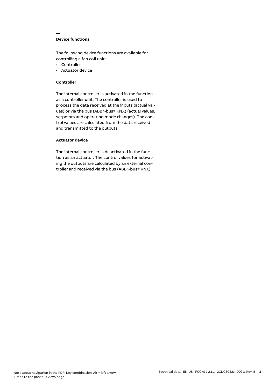## **Device functions**

**—**

The following device functions are available for controlling a fan coil unit:

- Controller
- Actuator device

## **Controller**

The internal controller is activated in the function as a controller unit. The controller is used to process the data received at the inputs (actual values) or via the bus (ABB i-bus® KNX) (actual values, setpoints and operating mode changes). The control values are calculated from the data received and transmitted to the outputs.

## **Actuator device**

The internal controller is deactivated in the function as an actuator. The control values for activating the outputs are calculated by an external controller and received via the bus (ABB i-bus® KNX).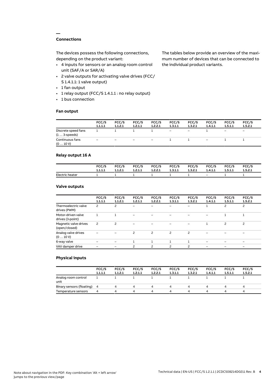## **Connections**

**—**

The devices possess the following connections, depending on the product variant:

- 4 inputs for sensors or an analog room control unit (SAF/A or SAR/A)
- 2 valve outputs for activating valve drives (FCC/ S 1.4.1.1: 1 valve output)
- 1 fan output
- 1 relay output (FCC/S 1.4.1.1 : no relay output)
- 1 bus connection

#### **Fan output**

The tables below provide an overview of the maximum number of devices that can be connected to the individual product variants.

|                                               | FCC/S<br>1.1.1.1 | FCC/S<br>1.1.2.1 | FCC/S<br>1.2.1.1  | FCC/S<br>1.2.2.1         | FCC/S<br>1.3.1.1  | FCC/S<br>1.3.2.1         | FCC/S<br>1.4.1.1 | FCC/S<br>1.5.1.1             | FCC/S<br>1.5.2.1         |
|-----------------------------------------------|------------------|------------------|-------------------|--------------------------|-------------------|--------------------------|------------------|------------------------------|--------------------------|
| Discrete speed fans<br>$(1 \ldots 3$ -speeds) |                  |                  |                   |                          | $\qquad \qquad -$ | $\overline{\phantom{m}}$ |                  | $\qquad \qquad \blacksquare$ | $\overline{\phantom{0}}$ |
| Continuous fans<br>(010V)                     | -                | -                | $\qquad \qquad -$ | $\overline{\phantom{a}}$ |                   |                          | -                |                              |                          |

## **Relay output 16 A**

|                 | FCC/S   | FCC/S   | FCC/S   | <b>FCC/S</b> | <b>FCC/S</b> | FCC/S   | FCC/S   | FCC/S   | FCC/S   |
|-----------------|---------|---------|---------|--------------|--------------|---------|---------|---------|---------|
|                 | 1.1.1.1 | 1.1.2.1 | 1.2.1.1 | 1.2.2.1      | 1.3.1.1      | 1.3.2.1 | 1.4.1.1 | 1.5.1.1 | 1.5.2.1 |
| Electric heater |         |         |         |              |              |         | $-$     |         |         |

## **Valve outputs**

|                                        | FCC/S<br>1.1.1.1 | FCC/S<br>1.1.2.1         | FCC/S<br>1.2.1.1 | FCC/S<br>1.2.2.1 | FCC/S<br>1.3.1.1 | FCC/S<br>1.3.2.1         | FCC/S<br>1.4.1.1 | FCC/S<br>1.5.1.1 | FCC/S<br>1.5.2.1         |  |
|----------------------------------------|------------------|--------------------------|------------------|------------------|------------------|--------------------------|------------------|------------------|--------------------------|--|
| Thermoelectric valve<br>drives (PWM)   | 2                | 2                        | -                |                  |                  |                          |                  | 2                | $\overline{c}$           |  |
| Motor-driven valve<br>drives (3-point) |                  |                          |                  |                  |                  |                          |                  |                  |                          |  |
| Magnetic valve drives<br>(open/closed) | 2                | $\overline{\phantom{0}}$ |                  |                  |                  |                          |                  | 2                | $\overline{c}$           |  |
| Analog valve drives<br>(010V)          |                  |                          | 2                | 2                | $\overline{c}$   | 2                        |                  |                  |                          |  |
| 6-way valve                            |                  |                          |                  |                  |                  |                          |                  |                  | $\overline{\phantom{0}}$ |  |
| VAV damper drive                       |                  |                          | ς                | ς                | $\mathcal{P}$    | $\overline{\phantom{0}}$ |                  |                  |                          |  |
|                                        |                  |                          |                  |                  |                  |                          |                  |                  |                          |  |

#### **Physical inputs**

|                             | FCC/S<br>1.1.1.1 | FCC/S<br>1.1.2.1 | FCC/S<br>1.2.1.1 | FCC/S<br>1.2.2.1 | FCC/S<br>1.3.1.1 | FCC/S<br>1.3.2.1 | FCC/S<br>1.4.1.1 | FCC/S<br>1.5.1.1 | FCC/S<br>1.5.2.1 |
|-----------------------------|------------------|------------------|------------------|------------------|------------------|------------------|------------------|------------------|------------------|
| Analog room control<br>unit |                  |                  |                  |                  |                  |                  |                  |                  |                  |
| Binary sensors (floating) 4 |                  |                  | 4                |                  | Δ.               | 4                |                  |                  | 4                |
| Temperature sensors         | 4                | Δ.               | Δ                |                  | Δ.               | 4                |                  | Δ                | 4                |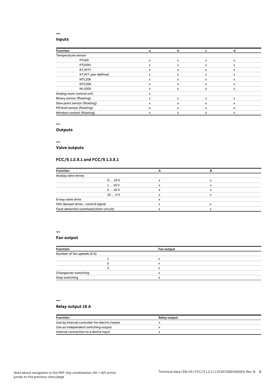#### **Inputs**

**—**

| a | b |   |              |  |
|---|---|---|--------------|--|
|   |   |   |              |  |
| x | x | X | $\mathsf{x}$ |  |
| x | X | x | x            |  |
| x | x | x | x            |  |
| x | X | x | x            |  |
| x | x | x | x            |  |
| x | x | X | x            |  |
| x | x | x | $\mathsf{x}$ |  |
| x |   |   |              |  |
| x | X | X | $\mathsf{x}$ |  |
| x | x | x | x            |  |
| x | x | x | x            |  |
| x | x | x | x            |  |
|   |   |   |              |  |

#### **—**

## **Outputs**

**—**

## **Valve outputs**

## **FCC/S 1.2.X.1 and FCC/S 1.3.X.1**

| <b>Function</b>                          |   |   |  |
|------------------------------------------|---|---|--|
| Analog valve drives                      |   |   |  |
| 010V                                     | x | x |  |
| 110V                                     | x | x |  |
| 210V                                     | x | x |  |
| 100V                                     | x |   |  |
| 6-way valve drive                        | x |   |  |
| VAV damper drive - control signal        | ᄉ |   |  |
| Fault detection (overload/short circuit) |   |   |  |

#### **—**

**—**

## **Fan output**

| <b>Function</b>            |  | Fan output |  |
|----------------------------|--|------------|--|
| Number of fan speeds (5 A) |  |            |  |
|                            |  | x          |  |
|                            |  | x          |  |
|                            |  | x          |  |
| Changeover switching       |  | x          |  |
| Step switching             |  | x          |  |

## **Relay output 16 A**

| <b>Function</b>                                | <b>Relay output</b> |
|------------------------------------------------|---------------------|
| Use by internal controller for electric heater |                     |
| Use as independent switching output            |                     |
| Internal connection to a device input          |                     |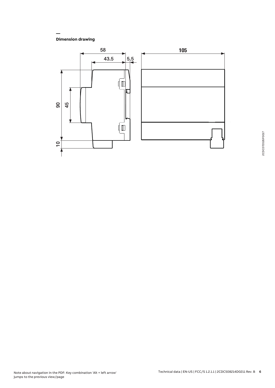**Dimension drawing**

**—**

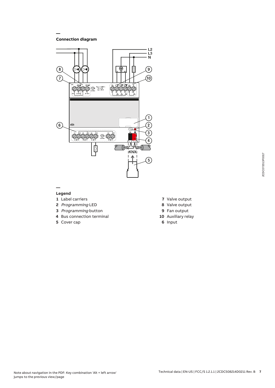**Connection diagram**

**—**



#### **— Legend**

- **1** Label carriers
- **2** Programming LED
- **3** Programming button
- **4** Bus connection terminal
- **5** Cover cap
- **7** Valve output
- **8** Valve output
- **9** Fan output
- **10** Auxiliary relay
- **6** Input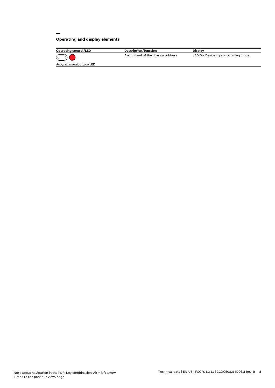## **Operating and display elements**

**—**

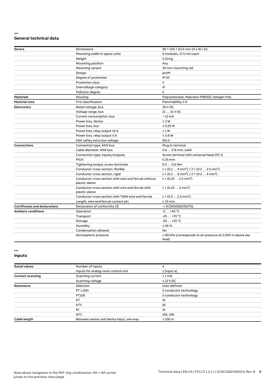#### **— General technical data**

| Device                               | <b>Dimensions</b>                                                       | $90 \times 105 \times 63.5$ mm (H x W x D)                                      |
|--------------------------------------|-------------------------------------------------------------------------|---------------------------------------------------------------------------------|
|                                      | Mounting width in space units                                           | 6 modules, 17.5 mm each                                                         |
|                                      | Weight                                                                  | 0.23 kg                                                                         |
|                                      | Mounting position                                                       | Any                                                                             |
|                                      | Mounting variant                                                        | 35 mm mounting rail                                                             |
|                                      | Design                                                                  | proM                                                                            |
|                                      | Degree of protection                                                    | <b>IP 20</b>                                                                    |
|                                      | <b>Protection class</b>                                                 | Ш                                                                               |
|                                      | Overvoltage category                                                    | Ш                                                                               |
|                                      | Pollution degree                                                        | 2                                                                               |
| <b>Materials</b>                     | Housing                                                                 | Polycarbonate, Makrolon FR6002, halogen free                                    |
| <b>Material note</b>                 | Fire classification                                                     | Flammability V-0                                                                |
| <b>Electronics</b>                   | Rated voltage, bus                                                      | 30 V DC                                                                         |
|                                      | Voltage range, bus                                                      | 21  31 V DC                                                                     |
|                                      | Current consumption, bus                                                | $< 12 \text{ mA}$                                                               |
|                                      | Power loss, device                                                      | $\leq 3 W$                                                                      |
|                                      | Power loss, bus                                                         | $\leq$ 0.25 W                                                                   |
|                                      | Power loss, relay output 16 A                                           | $\leq 1 W$                                                                      |
|                                      | Power loss, relay output 5 A                                            | $\leq 0.6 W$                                                                    |
|                                      | KNX safety extra low voltage                                            | <b>SELV</b>                                                                     |
| <b>Connections</b>                   | Connection type, KNX bus                                                | Plug-in terminal                                                                |
|                                      | Cable diameter, KNX bus                                                 | 0.6  0.8 mm, solid                                                              |
|                                      | Connection type, inputs/outputs                                         | Screw terminal with universal head (PZ 1)                                       |
|                                      | Pitch                                                                   | 6.35 mm                                                                         |
|                                      | Tightening torque, screw terminals                                      | $0.50.6$ Nm                                                                     |
|                                      | Conductor cross-section, flexible                                       | $1 \times (0.2 \ldots 4 \text{ mm}^2) / 2 \times (0.2 \ldots 2.5 \text{ mm}^2)$ |
|                                      | Conductor cross section, rigid                                          | $1 \times (0.2 \ldots 6 \text{ mm}^2) / 2 \times (0.2 \ldots 4 \text{ mm}^2)$   |
|                                      | Conductor cross section with wire end ferrule without<br>plastic sleeve | $1 \times (0.252.5 \text{ mm}^2)$                                               |
|                                      | Conductor cross section with wire end ferrule with<br>plastic sleeve    | $1 \times (0.254 \text{ mm}^2)$                                                 |
|                                      | Conductor cross section with TWIN wire end ferrule                      | $1 \times (0.52.5)$ mm <sup>2</sup> )                                           |
|                                      | Length, wire end ferrule contact pin                                    | $\geq 10$ mm                                                                    |
| <b>Certificates and declarations</b> | Declaration of conformity CE                                            | → 2CDK508223D2701                                                               |
| <b>Ambient conditions</b>            | Operation                                                               | $-5+45$ °C                                                                      |
|                                      | Transport                                                               | $-25+70$ °C                                                                     |
|                                      | Storage                                                                 | $-25+55$ °C                                                                     |
|                                      | Humidity                                                                | $\leq 95 \%$                                                                    |
|                                      | Condensation allowed                                                    | No                                                                              |
|                                      | Atmospheric pressure                                                    | $\geq$ 80 kPa (corresponds to air pressure at 2,000 m above sea<br>level)       |

#### **Inputs**

**—**

| <b>Rated values</b>     | Number of inputs                         | 4                      |  |
|-------------------------|------------------------------------------|------------------------|--|
|                         | Inputs for analog room control unit      | 1 (input a)            |  |
| <b>Contact scanning</b> | Scanning current                         | $\leq 1$ mA            |  |
|                         | Scanning voltage                         | $\leq$ 12 V DC         |  |
| <b>Resistance</b>       | Selection                                | User-defined           |  |
|                         | PT 1.000                                 | 2-conductor technology |  |
|                         | PT100                                    | 2-conductor technology |  |
|                         | KT                                       | 1 <sup>k</sup>         |  |
|                         | <b>KTY</b>                               | 2k                     |  |
|                         | NI                                       | 1 <sup>k</sup>         |  |
|                         | <b>NTC</b>                               | 10k, 20k               |  |
| Cable length            | Between sensor and device input, one-way | $\leq 100$ m           |  |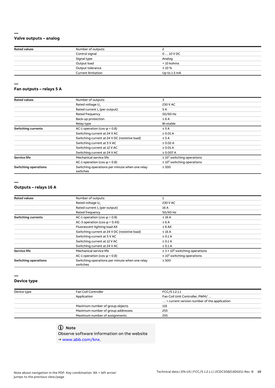## **Valve outputs – analog**

**—**

| <b>Rated values</b> | Number of outputs         |              |  |
|---------------------|---------------------------|--------------|--|
|                     | Control signal            | $010$ V DC   |  |
|                     | Signal type               | Analog       |  |
|                     | Output load               | > 10 kohms   |  |
|                     | Output tolerance          | $± 10 \%$    |  |
|                     | <b>Current limitation</b> | Up to 1.5 mA |  |

#### **— Fan outputs – relays 5 A**

| <b>Rated values</b>         | Number of outputs                                          | 3                                |
|-----------------------------|------------------------------------------------------------|----------------------------------|
|                             | Rated voltage U <sub>n</sub>                               | 230 V AC                         |
|                             | Rated current I <sub>n</sub> (per output)                  | 5 A                              |
|                             | Rated frequency                                            | 50/60 Hz                         |
|                             | Back-up protection                                         | $\leq 6A$                        |
|                             | Relay type                                                 | Bi-stable                        |
| <b>Switching currents</b>   | AC-1 operation (cos $\varphi$ = 0.8)                       | $\leq$ 5 A                       |
|                             | Switching current at 24 V AC                               | $\geq 0.01$ A                    |
|                             | Switching current at 24 V DC (resistive load)              | $\leq$ 5 A                       |
|                             | Switching current at 5 V AC                                | $\geq 0.02$ A                    |
|                             | Switching current at 12 V AC                               | $\geq 0.01$ A                    |
|                             | Switching current at 24 V AC                               | $\geq 0.007 A$                   |
| <b>Service life</b>         | Mechanical service life                                    | $\geq 10^7$ switching operations |
|                             | AC-1 operation (cos $\varphi$ = 0.8)                       | $\geq 10^5$ switching operations |
| <b>Switching operations</b> | Switching operations per minute when one relay<br>switches | $\leq 500$                       |

#### **—**

#### **Outputs – relays 16 A**

| <b>Rated values</b>         | Number of outputs                                          |                                                 |  |
|-----------------------------|------------------------------------------------------------|-------------------------------------------------|--|
|                             | Rated voltage U <sub>n</sub>                               | 230 V AC                                        |  |
|                             | Rated current I. (per output)                              | 16 A                                            |  |
|                             | Rated frequency                                            | 50/60 Hz                                        |  |
| <b>Switching currents</b>   | AC-1 operation (cos $\varphi$ = 0.8)                       | $\leq 16$ A                                     |  |
|                             | AC-3 operation (cos $\varphi$ = 0.45)<br>$\leq 6A$         |                                                 |  |
|                             | Fluorescent lighting load AX<br>$\leq 6$ AX                |                                                 |  |
|                             | Switching current at 24 V DC (resistive load)              | $\leq$ 16 A                                     |  |
|                             | Switching current at 5 V AC                                | $\geq 0.1$ A                                    |  |
|                             | Switching current at 12 V AC                               | $\geq 0.1$ A                                    |  |
|                             | Switching current at 24 V AC                               | $\geq 0.1$ A                                    |  |
| <b>Service life</b>         | Mechanical service life                                    | $\geq$ 3 × 10 <sup>6</sup> switching operations |  |
|                             | AC-1 operation (cos $\varphi$ = 0.8)                       | $\geq 10^5$ switching operations                |  |
| <b>Switching operations</b> | Switching operations per minute when one relay<br>switches | $\leq 500$                                      |  |

#### **Device type**

**—**

| Device type | Fan Coil Controller               | FCC/S 1.2.1.1                                        |  |
|-------------|-----------------------------------|------------------------------------------------------|--|
|             | Application                       | Fan Coil Unit Controller, PWM/                       |  |
|             |                                   | $\ldots$ = current version number of the application |  |
|             | Maximum number of group objects   | 116                                                  |  |
|             | Maximum number of group addresses | 255                                                  |  |
|             | Maximum number of assignments     | 255                                                  |  |
|             |                                   |                                                      |  |

## **Note**

Observe software information on the website

→ www.abb.com/knx.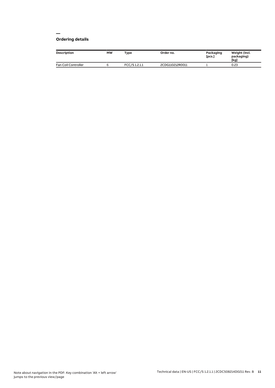#### **— Ordering details**

| <b>Description</b>  | <b>MW</b> | Type         | Order no.       | Packaging<br>[pcs.] | Weight (incl.<br>packaging)<br>[kg] |
|---------------------|-----------|--------------|-----------------|---------------------|-------------------------------------|
| Fan Coil Controller |           | FCC/S1.2.1.1 | 2CDG110212R0011 |                     | 0.23                                |